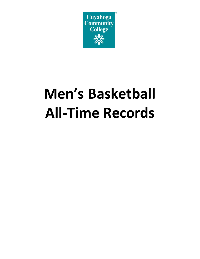

# **Men's Basketball All-Time Records**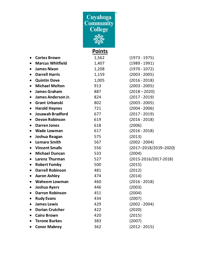

# **Points**

| $\bullet$ | <b>Cortez Brown</b>     | 1,562 | $(1973 - 1975)$               |
|-----------|-------------------------|-------|-------------------------------|
| $\bullet$ | <b>Marcus Whitfield</b> | 1,407 | $(1989 - 1991)$               |
| $\bullet$ | <b>James Nixon</b>      | 1,208 | $(1970 - 1072)$               |
| $\bullet$ | <b>Darrell Harris</b>   | 1,159 | $(2003 - 2005)$               |
| $\bullet$ | <b>Quintin Dove</b>     | 1,005 | $(2016 - 2018)$               |
| $\bullet$ | <b>Michael Melton</b>   | 913   | $(2003 - 2005)$               |
| $\bullet$ | <b>James Graham</b>     | 887   | $(2018 - 2020)$               |
| $\bullet$ | James Anderson Jr.      | 824   | $(2017 - 2019)$               |
| $\bullet$ | <b>Grant Urbanski</b>   | 802   | $(2003 - 2005)$               |
| $\bullet$ | <b>Harold Haynes</b>    | 721   | $(2004 - 2006)$               |
| $\bullet$ | <b>Josawah Bradford</b> | 677   | $(2017 - 2019)$               |
| $\bullet$ | <b>Devon Robinson</b>   | 619   | $(2016 - 2018)$               |
| $\bullet$ | <b>Darren Jones</b>     | 618   | (2006)                        |
| $\bullet$ | <b>Wade Lowman</b>      | 617   | $(2016 - 2018)$               |
| $\bullet$ | Joshua Reagan           | 575   | (2013)                        |
| $\bullet$ | <b>Lemaro Smith</b>     | 567   | $(2002 - 2004)$               |
| $\bullet$ | <b>Vincent Smalls</b>   | 556   | $(2017 - 2018/2019 - 2020)$   |
| $\bullet$ | <b>Michael Duncan</b>   | 533   | (2004)                        |
| $\bullet$ | Larenz Thurman          | 527   | $(2015 - 2016 / 2017 - 2018)$ |
| $\bullet$ | <b>Robert Fomby</b>     | 500   | (2015)                        |
| $\bullet$ | <b>Darrell Robinson</b> | 481   | (2012)                        |
| $\bullet$ | <b>Aaron Ashley</b>     | 474   | (2014)                        |
| $\bullet$ | <b>Waheem Lowman</b>    | 460   | $(2016 - 2018)$               |
| $\bullet$ | <b>Joshua Ayers</b>     | 446   | (2003)                        |
| $\bullet$ | <b>Darron Robinson</b>  | 451   | (2004)                        |
| $\bullet$ | <b>Rudy Evans</b>       | 434   | (2007)                        |
| $\bullet$ | <b>James Lewis</b>      | 429   | $(2002 - 2004)$               |
| $\bullet$ | <b>Dorian Crutcher</b>  | 422   | (2020)                        |
| $\bullet$ | <b>Cairo Brown</b>      | 420   | (2015)                        |
| $\bullet$ | <b>Terone Burkes</b>    | 383   | (2007)                        |
|           | <b>Conor Mabrey</b>     | 362   | $(2012 - 2015)$               |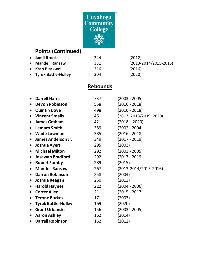

# **Points (Continued)**

| • Jamil Brooks        | 344 | (2012)                      |
|-----------------------|-----|-----------------------------|
| • Mandell Ransaw      | 331 | $(2013 - 2014/2015 - 2016)$ |
| • Kash Blackwell      | 316 | (2016)                      |
| • Tyrek Battle-Holley | 304 | (2020)                      |

## **Rebounds**

|           | <b>Darrell Harris</b>      | 737 | $(2003 - 2005)$             |
|-----------|----------------------------|-----|-----------------------------|
|           | <b>Devon Robinson</b>      | 558 | $(2016 - 2018)$             |
| $\bullet$ | <b>Quintin Dove</b>        | 498 | $(2016 - 2018)$             |
|           | <b>Vincent Smalls</b>      | 461 | $(2017 - 2018/2019 - 2020)$ |
|           | <b>James Graham</b>        | 421 | $(2018 - 2020)$             |
|           | <b>Lemaro Smith</b>        | 389 | $(2002 - 2004)$             |
|           | <b>Wade Lowman</b>         | 385 | $(2016 - 2018)$             |
|           | James Anderson Jr.         | 349 | $(2017 - 2019)$             |
| $\bullet$ | Joshua Ayers               | 295 | (2003)                      |
| $\bullet$ | <b>Michael Milton</b>      | 292 | $(2003 - 2005)$             |
|           | <b>Josawah Bradford</b>    | 292 | $(2017 - 2019)$             |
|           | <b>Robert Fomby</b>        | 289 | (2015)                      |
| $\bullet$ | <b>Mandell Ransaw</b>      | 267 | $(2013 - 2014/2015 - 2016)$ |
|           | <b>Darron Robinson</b>     | 258 | (2004)                      |
| $\bullet$ | Joshua Reagan              | 250 | (2013)                      |
|           | <b>Harold Haynes</b>       | 222 | $(2004 - 2006)$             |
|           | <b>Cortez Allen</b>        | 211 | $(2015 - 2017)$             |
|           | <b>Terone Burkes</b>       | 171 | (2007)                      |
|           | <b>Tyrek Battle-Holley</b> | 169 | (2020)                      |
|           | <b>Grant Urbanski</b>      | 156 | $(2003 - 2005)$             |
|           | <b>Aaron Ashley</b>        | 162 | (2014)                      |
|           | <b>Darrell Robinson</b>    | 162 | (2012)                      |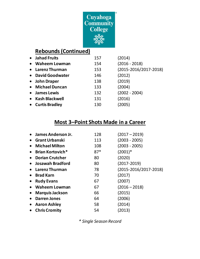

#### **Rebounds (Continued)**

| $\bullet$ | <b>Jahad Fruits</b>   | 157 | (2014)                |
|-----------|-----------------------|-----|-----------------------|
| $\bullet$ | <b>Waheem Lowman</b>  | 154 | $(2016 - 2018)$       |
|           | • Larenz Thurman      | 153 | (2015-2016/2017-2018) |
|           | • David Goodwater     | 146 | (2012)                |
|           | • John Draper         | 138 | (2019)                |
| $\bullet$ | <b>Michael Duncan</b> | 133 | (2004)                |
| $\bullet$ | <b>James Lewis</b>    | 132 | $(2002 - 2004)$       |
| $\bullet$ | <b>Kash Blackwell</b> | 131 | (2016)                |
| $\bullet$ | <b>Curtis Bradley</b> | 130 | (2005)                |
|           |                       |     |                       |

#### **Most 3–Point Shots Made in a Career**

| James Anderson Jr.      | 128   | (2017 – 2019)                 |
|-------------------------|-------|-------------------------------|
| <b>Grant Urbanski</b>   | 113   | $(2003 - 2005)$               |
| <b>Michael Milton</b>   | 108   | (2003 - 2005)                 |
| <b>Brian Kortovich*</b> | $87*$ | $(2001)^*$                    |
| <b>Dorian Crutcher</b>  | 80    | (2020)                        |
| Josawah Bradford        | 80    | $(2017 - 2019)$               |
| <b>Larenz Thurman</b>   | 78    | $(2015 - 2016 / 2017 - 2018)$ |
| <b>Brad Karn</b>        | 70    | (2017)                        |
| <b>Rudy Evans</b>       | 67    | (2007)                        |
| <b>Waheem Lowman</b>    | 67    | $(2016 - 2018)$               |
| <b>Marquis Jackson</b>  | 66    | (2015)                        |
| <b>Darren Jones</b>     | 64    | (2006)                        |
| <b>Aaron Ashley</b>     | 58    | (2014)                        |
| <b>Chris Cromity</b>    | 54    | (2013)                        |
|                         |       |                               |

*\* Single Season Record*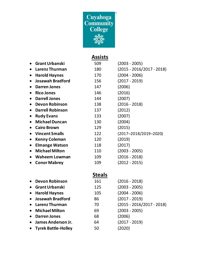

# **Assists**

|           | <b>Grant Urbanski</b>   | 509 | $(2003 - 2005)$           |
|-----------|-------------------------|-----|---------------------------|
|           | <b>Larenz Thurman</b>   | 180 | (2015 - 2016/2017 - 2018) |
| $\bullet$ | <b>Harold Haynes</b>    | 170 | $(2004 - 2006)$           |
|           | <b>Josawah Bradford</b> | 156 | $(2017 - 2019)$           |
|           | <b>Darren Jones</b>     | 147 | (2006)                    |
|           | <b>Rico Jones</b>       | 146 | (2016)                    |
|           | <b>Darrell Jones</b>    | 144 | (2007)                    |
|           | <b>Devon Robinson</b>   | 138 | (2016 - 2018)             |
|           | <b>Darrell Robinson</b> | 137 | (2012)                    |
|           | <b>Rudy Evans</b>       | 133 | (2007)                    |
|           | <b>Michael Duncan</b>   | 130 | (2004)                    |
|           | <b>Cairo Brown</b>      | 129 | (2015)                    |
|           | <b>Vincent Smalls</b>   | 122 | (2017-2018/2019-2020)     |
|           | <b>Kenny Coleman</b>    | 120 | (2019)                    |
|           | <b>Elmange Watson</b>   | 118 | (2017)                    |
| $\bullet$ | <b>Michael Milton</b>   | 110 | (2003 - 2005)             |
|           | <b>Waheem Lowman</b>    | 109 | (2016 - 2018)             |
|           | <b>Conor Mabrey</b>     | 109 | (2012 - 2015)             |
|           |                         |     |                           |

## **Steals**

| <b>Devon Robinson</b>      | 161                                                                     | $(2016 - 2018)$             |
|----------------------------|-------------------------------------------------------------------------|-----------------------------|
|                            | 125                                                                     | $(2003 - 2005)$             |
| <b>Harold Haynes</b>       | 105                                                                     | $(2004 - 2006)$             |
|                            | 86                                                                      | $(2017 - 2019)$             |
|                            | 70                                                                      | $(2015 - 2016/2017 - 2018)$ |
| <b>Michael Milton</b>      | 69                                                                      | $(2003 - 2005)$             |
| <b>Darren Jones</b>        | 68                                                                      | (2006)                      |
| James Anderson Jr.         | 64                                                                      | $(2017 - 2019)$             |
| <b>Tyrek Battle-Holley</b> | 50                                                                      | (2020)                      |
| $\bullet$                  | • Grant Urbanski<br>$\bullet$<br>• Josawah Bradford<br>• Larenz Thurman |                             |